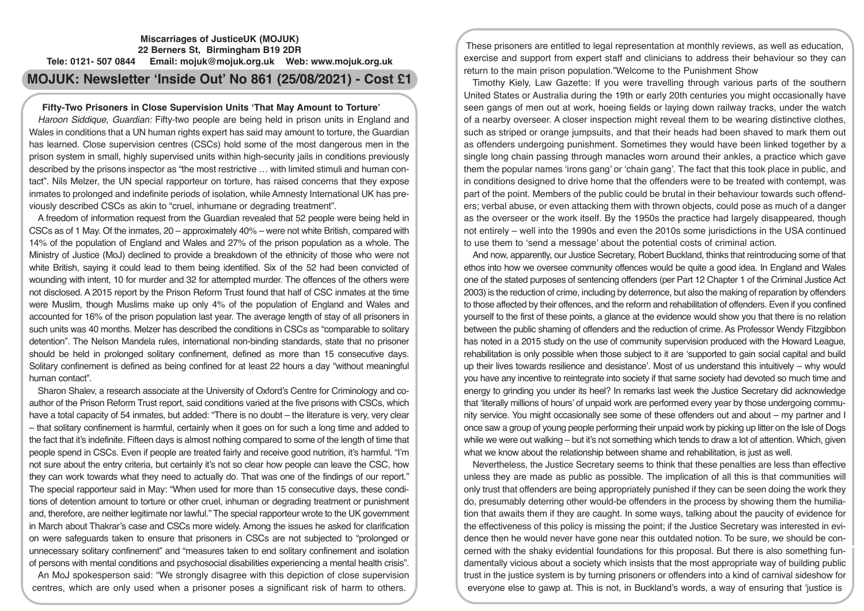# **Miscarriages of JusticeUK (MOJUK) 22 Berners St, Birmingham B19 2DR Tele: 0121- 507 0844 Email: mojuk@mojuk.org.uk Web: www.mojuk.org.uk**

# **MOJUK: Newsletter 'Inside Out' No 861 (25/08/2021) - Cost £1**

# **Fifty-Two Prisoners in Close Supervision Units 'That May Amount to Torture'**

*Haroon Siddique, Guardian:* Fifty-two people are being held in prison units in England and Wales in conditions that a UN human rights expert has said may amount to torture, the Guardian has learned. Close supervision centres (CSCs) hold some of the most dangerous men in the prison system in small, highly supervised units within high-security jails in conditions previously described by the prisons inspector as "the most restrictive … with limited stimuli and human contact". Nils Melzer, the UN special rapporteur on torture, has raised concerns that they expose inmates to prolonged and indefinite periods of isolation, while Amnesty International UK has previously described CSCs as akin to "cruel, inhumane or degrading treatment".

A freedom of information request from the Guardian revealed that 52 people were being held in CSCs as of 1 May. Of the inmates, 20 – approximately 40% – were not white British, compared with 14% of the population of England and Wales and 27% of the prison population as a whole. The Ministry of Justice (MoJ) declined to provide a breakdown of the ethnicity of those who were not white British, saying it could lead to them being identified. Six of the 52 had been convicted of wounding with intent, 10 for murder and 32 for attempted murder. The offences of the others were not disclosed. A 2015 report by the Prison Reform Trust found that half of CSC inmates at the time were Muslim, though Muslims make up only 4% of the population of England and Wales and accounted for 16% of the prison population last year. The average length of stay of all prisoners in such units was 40 months. Melzer has described the conditions in CSCs as "comparable to solitary detention". The Nelson Mandela rules, international non-binding standards, state that no prisoner should be held in prolonged solitary confinement, defined as more than 15 consecutive days. Solitary confinement is defined as being confined for at least 22 hours a day "without meaningful human contact".

Sharon Shalev, a research associate at the University of Oxford's Centre for Criminology and coauthor of the Prison Reform Trust report, said conditions varied at the five prisons with CSCs, which have a total capacity of 54 inmates, but added: "There is no doubt – the literature is very, very clear – that solitary confinement is harmful, certainly when it goes on for such a long time and added to the fact that it's indefinite. Fifteen days is almost nothing compared to some of the length of time that people spend in CSCs. Even if people are treated fairly and receive good nutrition, it's harmful. "I'm not sure about the entry criteria, but certainly it's not so clear how people can leave the CSC, how they can work towards what they need to actually do. That was one of the findings of our report." The special rapporteur said in May: "When used for more than 15 consecutive days, these conditions of detention amount to torture or other cruel, inhuman or degrading treatment or punishment and, therefore, are neither legitimate nor lawful." The special rapporteur wrote to the UK government in March about Thakrar's case and CSCs more widely. Among the issues he asked for clarification on were safeguards taken to ensure that prisoners in CSCs are not subjected to "prolonged or unnecessary solitary confinement" and "measures taken to end solitary confinement and isolation of persons with mental conditions and psychosocial disabilities experiencing a mental health crisis".

An MoJ spokesperson said: "We strongly disagree with this depiction of close supervision centres, which are only used when a prisoner poses a significant risk of harm to others.

These prisoners are entitled to legal representation at monthly reviews, as well as education, exercise and support from expert staff and clinicians to address their behaviour so they can return to the main prison population."Welcome to the Punishment Show

Timothy Kiely, Law Gazette: If you were travelling through various parts of the southern United States or Australia during the 19th or early 20th centuries you might occasionally have seen gangs of men out at work, hoeing fields or laying down railway tracks, under the watch of a nearby overseer. A closer inspection might reveal them to be wearing distinctive clothes, such as striped or orange jumpsuits, and that their heads had been shaved to mark them out as offenders undergoing punishment. Sometimes they would have been linked together by a single long chain passing through manacles worn around their ankles, a practice which gave them the popular names 'irons gang' or 'chain gang'. The fact that this took place in public, and in conditions designed to drive home that the offenders were to be treated with contempt, was part of the point. Members of the public could be brutal in their behaviour towards such offenders; verbal abuse, or even attacking them with thrown objects, could pose as much of a danger as the overseer or the work itself. By the 1950s the practice had largely disappeared, though not entirely – well into the 1990s and even the 2010s some jurisdictions in the USA continued to use them to 'send a message' about the potential costs of criminal action.

And now, apparently, our Justice Secretary, Robert Buckland, thinks that reintroducing some of that ethos into how we oversee community offences would be quite a good idea. In England and Wales one of the stated purposes of sentencing offenders (per Part 12 Chapter 1 of the Criminal Justice Act 2003) is the reduction of crime, including by deterrence, but also the making of reparation by offenders to those affected by their offences, and the reform and rehabilitation of offenders. Even if you confined yourself to the first of these points, a glance at the evidence would show you that there is no relation between the public shaming of offenders and the reduction of crime. As Professor Wendy Fitzgibbon has noted in a 2015 study on the use of community supervision produced with the Howard League, rehabilitation is only possible when those subject to it are 'supported to gain social capital and build up their lives towards resilience and desistance'. Most of us understand this intuitively – why would you have any incentive to reintegrate into society if that same society had devoted so much time and energy to grinding you under its heel? In remarks last week the Justice Secretary did acknowledge that 'literally millions of hours' of unpaid work are performed every year by those undergoing community service. You might occasionally see some of these offenders out and about – my partner and I once saw a group of young people performing their unpaid work by picking up litter on the Isle of Dogs while we were out walking – but it's not something which tends to draw a lot of attention. Which, given what we know about the relationship between shame and rehabilitation, is just as well.

Nevertheless, the Justice Secretary seems to think that these penalties are less than effective unless they are made as public as possible. The implication of all this is that communities will only trust that offenders are being appropriately punished if they can be seen doing the work they do, presumably deterring other would-be offenders in the process by showing them the humiliation that awaits them if they are caught. In some ways, talking about the paucity of evidence for the effectiveness of this policy is missing the point; if the Justice Secretary was interested in evidence then he would never have gone near this outdated notion. To be sure, we should be concerned with the shaky evidential foundations for this proposal. But there is also something fundamentally vicious about a society which insists that the most appropriate way of building public trust in the justice system is by turning prisoners or offenders into a kind of carnival sideshow for everyone else to gawp at. This is not, in Buckland's words, a way of ensuring that 'justice is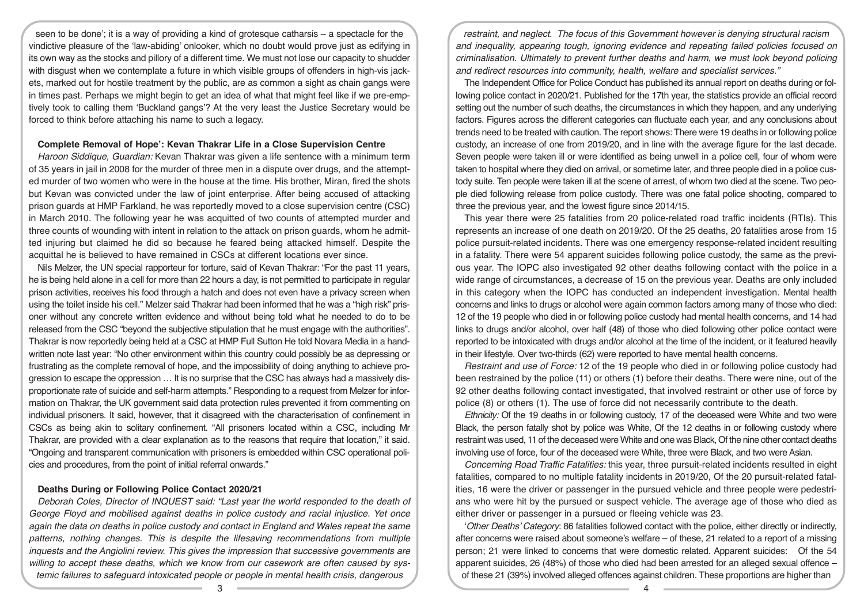seen to be done'; it is a way of providing a kind of grotesque catharsis – a spectacle for the vindictive pleasure of the 'law-abiding' onlooker, which no doubt would prove just as edifying in its own way as the stocks and pillory of a different time. We must not lose our capacity to shudder with disgust when we contemplate a future in which visible groups of offenders in high-vis jackets, marked out for hostile treatment by the public, are as common a sight as chain gangs were in times past. Perhaps we might begin to get an idea of what that might feel like if we pre-emptively took to calling them 'Buckland gangs'? At the very least the Justice Secretary would be forced to think before attaching his name to such a legacy.

## **Complete Removal of Hope': Kevan Thakrar Life in a Close Supervision Centre**

*Haroon Siddique, Guardian:* Kevan Thakrar was given a life sentence with a minimum term of 35 years in jail in 2008 for the murder of three men in a dispute over drugs, and the attempted murder of two women who were in the house at the time. His brother, Miran, fired the shots but Kevan was convicted under the law of joint enterprise. After being accused of attacking prison guards at HMP Farkland, he was reportedly moved to a close supervision centre (CSC) in March 2010. The following year he was acquitted of two counts of attempted murder and three counts of wounding with intent in relation to the attack on prison guards, whom he admitted injuring but claimed he did so because he feared being attacked himself. Despite the acquittal he is believed to have remained in CSCs at different locations ever since.

Nils Melzer, the UN special rapporteur for torture, said of Kevan Thakrar: "For the past 11 years, he is being held alone in a cell for more than 22 hours a day, is not permitted to participate in regular prison activities, receives his food through a hatch and does not even have a privacy screen when using the toilet inside his cell." Melzer said Thakrar had been informed that he was a "high risk" prisoner without any concrete written evidence and without being told what he needed to do to be released from the CSC "beyond the subjective stipulation that he must engage with the authorities". Thakrar is now reportedly being held at a CSC at HMP Full Sutton He told Novara Media in a handwritten note last year: "No other environment within this country could possibly be as depressing or frustrating as the complete removal of hope, and the impossibility of doing anything to achieve progression to escape the oppression … It is no surprise that the CSC has always had a massively disproportionate rate of suicide and self-harm attempts." Responding to a request from Melzer for information on Thakrar, the UK government said data protection rules prevented it from commenting on individual prisoners. It said, however, that it disagreed with the characterisation of confinement in CSCs as being akin to solitary confinement. "All prisoners located within a CSC, including Mr Thakrar, are provided with a clear explanation as to the reasons that require that location," it said. "Ongoing and transparent communication with prisoners is embedded within CSC operational policies and procedures, from the point of initial referral onwards."

#### **Deaths During or Following Police Contact 2020/21**

*Deborah Coles, Director of INQUEST said: "Last year the world responded to the death of George Floyd and mobilised against deaths in police custody and racial injustice. Yet once again the data on deaths in police custody and contact in England and Wales repeat the same patterns, nothing changes. This is despite the lifesaving recommendations from multiple inquests and the Angiolini review. This gives the impression that successive governments are willing to accept these deaths, which we know from our casework are often caused by systemic failures to safeguard intoxicated people or people in mental health crisis, dangerous* 

*restraint, and neglect. The focus of this Government however is denying structural racism and inequality, appearing tough, ignoring evidence and repeating failed policies focused on criminalisation. Ultimately to prevent further deaths and harm, we must look beyond policing and redirect resources into community, health, welfare and specialist services."* 

The Independent Office for Police Conduct has published its annual report on deaths during or following police contact in 2020/21. Published for the 17th year, the statistics provide an official record setting out the number of such deaths, the circumstances in which they happen, and any underlying factors. Figures across the different categories can fluctuate each year, and any conclusions about trends need to be treated with caution. The report shows: There were 19 deaths in or following police custody, an increase of one from 2019/20, and in line with the average figure for the last decade. Seven people were taken ill or were identified as being unwell in a police cell, four of whom were taken to hospital where they died on arrival, or sometime later, and three people died in a police custody suite. Ten people were taken ill at the scene of arrest, of whom two died at the scene. Two people died following release from police custody. There was one fatal police shooting, compared to three the previous year, and the lowest figure since 2014/15.

This year there were 25 fatalities from 20 police-related road traffic incidents (RTIs). This represents an increase of one death on 2019/20. Of the 25 deaths, 20 fatalities arose from 15 police pursuit-related incidents. There was one emergency response-related incident resulting in a fatality. There were 54 apparent suicides following police custody, the same as the previous year. The IOPC also investigated 92 other deaths following contact with the police in a wide range of circumstances, a decrease of 15 on the previous year. Deaths are only included in this category when the IOPC has conducted an independent investigation. Mental health concerns and links to drugs or alcohol were again common factors among many of those who died: 12 of the 19 people who died in or following police custody had mental health concerns, and 14 had links to drugs and/or alcohol, over half (48) of those who died following other police contact were reported to be intoxicated with drugs and/or alcohol at the time of the incident, or it featured heavily in their lifestyle. Over two-thirds (62) were reported to have mental health concerns.

*Restraint and use of Force:* 12 of the 19 people who died in or following police custody had been restrained by the police (11) or others (1) before their deaths. There were nine, out of the 92 other deaths following contact investigated, that involved restraint or other use of force by police (8) or others (1). The use of force did not necessarily contribute to the death.

*Ethnicity:* Of the 19 deaths in or following custody, 17 of the deceased were White and two were Black, the person fatally shot by police was White, Of the 12 deaths in or following custody where restraint was used, 11 of the deceased were White and one was Black, Of the nine other contact deaths involving use of force, four of the deceased were White, three were Black, and two were Asian.

*Concerning Road Traffic Fatalities:* this year, three pursuit-related incidents resulted in eight fatalities, compared to no multiple fatality incidents in 2019/20, Of the 20 pursuit-related fatalities, 16 were the driver or passenger in the pursued vehicle and three people were pedestrians who were hit by the pursued or suspect vehicle. The average age of those who died as either driver or passenger in a pursued or fleeing vehicle was 23.

'*Other Deaths' Category*: 86 fatalities followed contact with the police, either directly or indirectly, after concerns were raised about someone's welfare – of these, 21 related to a report of a missing person; 21 were linked to concerns that were domestic related. Apparent suicides: Of the 54 apparent suicides, 26 (48%) of those who died had been arrested for an alleged sexual offence – of these 21 (39%) involved alleged offences against children. These proportions are higher than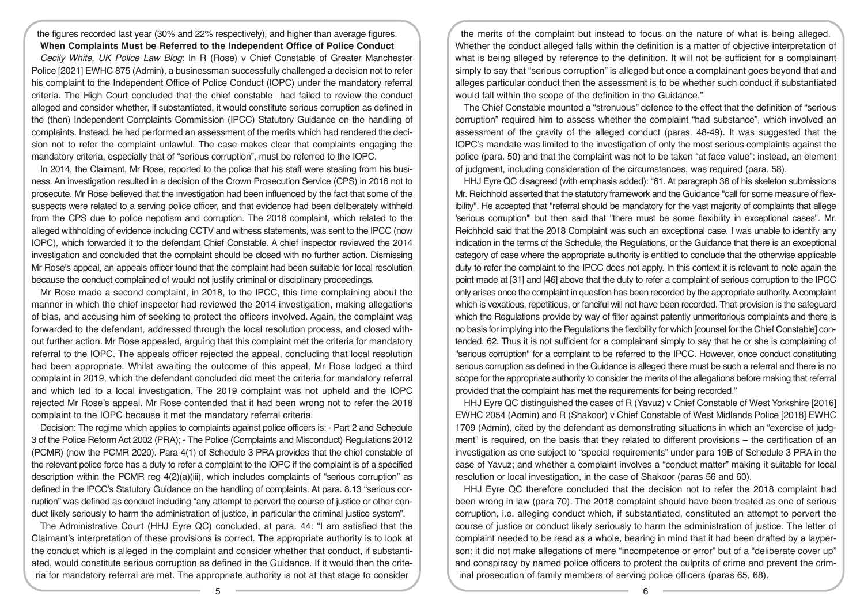# the figures recorded last year (30% and 22% respectively), and higher than average figures. **When Complaints Must be Referred to the Independent Office of Police Conduct**

*Cecily White, UK Police Law Blog*: In R (Rose) v Chief Constable of Greater Manchester Police [2021] EWHC 875 (Admin), a businessman successfully challenged a decision not to refer his complaint to the Independent Office of Police Conduct (IOPC) under the mandatory referral criteria. The High Court concluded that the chief constable had failed to review the conduct alleged and consider whether, if substantiated, it would constitute serious corruption as defined in the (then) Independent Complaints Commission (IPCC) Statutory Guidance on the handling of complaints. Instead, he had performed an assessment of the merits which had rendered the decision not to refer the complaint unlawful. The case makes clear that complaints engaging the mandatory criteria, especially that of "serious corruption", must be referred to the IOPC.

In 2014, the Claimant, Mr Rose, reported to the police that his staff were stealing from his business. An investigation resulted in a decision of the Crown Prosecution Service (CPS) in 2016 not to prosecute. Mr Rose believed that the investigation had been influenced by the fact that some of the suspects were related to a serving police officer, and that evidence had been deliberately withheld from the CPS due to police nepotism and corruption. The 2016 complaint, which related to the alleged withholding of evidence including CCTV and witness statements, was sent to the IPCC (now IOPC), which forwarded it to the defendant Chief Constable. A chief inspector reviewed the 2014 investigation and concluded that the complaint should be closed with no further action. Dismissing Mr Rose's appeal, an appeals officer found that the complaint had been suitable for local resolution because the conduct complained of would not justify criminal or disciplinary proceedings.

Mr Rose made a second complaint, in 2018, to the IPCC, this time complaining about the manner in which the chief inspector had reviewed the 2014 investigation, making allegations of bias, and accusing him of seeking to protect the officers involved. Again, the complaint was forwarded to the defendant, addressed through the local resolution process, and closed without further action. Mr Rose appealed, arguing that this complaint met the criteria for mandatory referral to the IOPC. The appeals officer rejected the appeal, concluding that local resolution had been appropriate. Whilst awaiting the outcome of this appeal, Mr Rose lodged a third complaint in 2019, which the defendant concluded did meet the criteria for mandatory referral and which led to a local investigation. The 2019 complaint was not upheld and the IOPC rejected Mr Rose's appeal. Mr Rose contended that it had been wrong not to refer the 2018 complaint to the IOPC because it met the mandatory referral criteria.

Decision: The regime which applies to complaints against police officers is: - Part 2 and Schedule 3 of the Police Reform Act 2002 (PRA); - The Police (Complaints and Misconduct) Regulations 2012 (PCMR) (now the PCMR 2020). Para 4(1) of Schedule 3 PRA provides that the chief constable of the relevant police force has a duty to refer a complaint to the IOPC if the complaint is of a specified description within the PCMR reg  $4(2)(a)(iii)$ , which includes complaints of "serious corruption" as defined in the IPCC's Statutory Guidance on the handling of complaints. At para. 8.13 "serious corruption" was defined as conduct including "any attempt to pervert the course of justice or other conduct likely seriously to harm the administration of justice, in particular the criminal justice system".

The Administrative Court (HHJ Eyre QC) concluded, at para. 44: "I am satisfied that the Claimant's interpretation of these provisions is correct. The appropriate authority is to look at the conduct which is alleged in the complaint and consider whether that conduct, if substantiated, would constitute serious corruption as defined in the Guidance. If it would then the criteria for mandatory referral are met. The appropriate authority is not at that stage to consider

the merits of the complaint but instead to focus on the nature of what is being alleged. Whether the conduct alleged falls within the definition is a matter of objective interpretation of what is being alleged by reference to the definition. It will not be sufficient for a complainant simply to say that "serious corruption" is alleged but once a complainant goes beyond that and alleges particular conduct then the assessment is to be whether such conduct if substantiated would fall within the scope of the definition in the Guidance."

The Chief Constable mounted a "strenuous" defence to the effect that the definition of "serious corruption" required him to assess whether the complaint "had substance", which involved an assessment of the gravity of the alleged conduct (paras. 48-49). It was suggested that the IOPC's mandate was limited to the investigation of only the most serious complaints against the police (para. 50) and that the complaint was not to be taken "at face value": instead, an element of judgment, including consideration of the circumstances, was required (para. 58).

HHJ Eyre QC disagreed (with emphasis added): "61. At paragraph 36 of his skeleton submissions Mr. Reichhold asserted that the statutory framework and the Guidance "call for some measure of flexibility". He accepted that "referral should be mandatory for the vast majority of complaints that allege 'serious corruption'" but then said that "there must be some flexibility in exceptional cases". Mr. Reichhold said that the 2018 Complaint was such an exceptional case. I was unable to identify any indication in the terms of the Schedule, the Regulations, or the Guidance that there is an exceptional category of case where the appropriate authority is entitled to conclude that the otherwise applicable duty to refer the complaint to the IPCC does not apply. In this context it is relevant to note again the point made at [31] and [46] above that the duty to refer a complaint of serious corruption to the IPCC only arises once the complaint in question has been recorded by the appropriate authority. A complaint which is vexatious, repetitious, or fanciful will not have been recorded. That provision is the safeguard which the Regulations provide by way of filter against patently unmeritorious complaints and there is no basis for implying into the Regulations the flexibility for which [counsel for the Chief Constable] contended. 62. Thus it is not sufficient for a complainant simply to say that he or she is complaining of "serious corruption" for a complaint to be referred to the IPCC. However, once conduct constituting serious corruption as defined in the Guidance is alleged there must be such a referral and there is no scope for the appropriate authority to consider the merits of the allegations before making that referral provided that the complaint has met the requirements for being recorded."

HHJ Eyre QC distinguished the cases of R (Yavuz) v Chief Constable of West Yorkshire [2016] EWHC 2054 (Admin) and R (Shakoor) v Chief Constable of West Midlands Police [2018] EWHC 1709 (Admin), cited by the defendant as demonstrating situations in which an "exercise of judgment" is required, on the basis that they related to different provisions – the certification of an investigation as one subject to "special requirements" under para 19B of Schedule 3 PRA in the case of Yavuz; and whether a complaint involves a "conduct matter" making it suitable for local resolution or local investigation, in the case of Shakoor (paras 56 and 60).

HHJ Eyre QC therefore concluded that the decision not to refer the 2018 complaint had been wrong in law (para 70). The 2018 complaint should have been treated as one of serious corruption, i.e. alleging conduct which, if substantiated, constituted an attempt to pervert the course of justice or conduct likely seriously to harm the administration of justice. The letter of complaint needed to be read as a whole, bearing in mind that it had been drafted by a layperson: it did not make allegations of mere "incompetence or error" but of a "deliberate cover up" and conspiracy by named police officers to protect the culprits of crime and prevent the criminal prosecution of family members of serving police officers (paras 65, 68).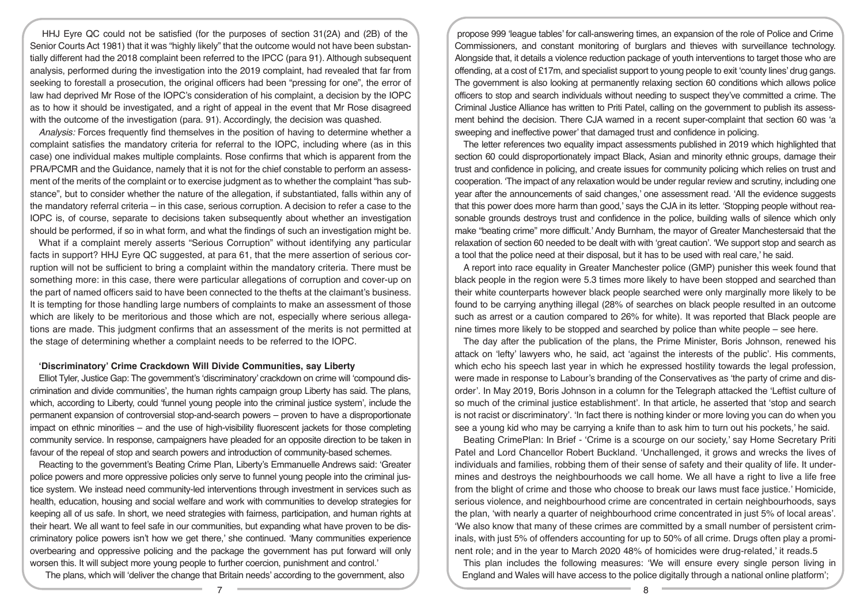HHJ Eyre QC could not be satisfied (for the purposes of section 31(2A) and (2B) of the Senior Courts Act 1981) that it was "highly likely" that the outcome would not have been substantially different had the 2018 complaint been referred to the IPCC (para 91). Although subsequent analysis, performed during the investigation into the 2019 complaint, had revealed that far from seeking to forestall a prosecution, the original officers had been "pressing for one", the error of law had deprived Mr Rose of the IOPC's consideration of his complaint, a decision by the IOPC as to how it should be investigated, and a right of appeal in the event that Mr Rose disagreed with the outcome of the investigation (para. 91). Accordingly, the decision was quashed.

*Analysis:* Forces frequently find themselves in the position of having to determine whether a complaint satisfies the mandatory criteria for referral to the IOPC, including where (as in this case) one individual makes multiple complaints. Rose confirms that which is apparent from the PRA/PCMR and the Guidance, namely that it is not for the chief constable to perform an assessment of the merits of the complaint or to exercise judgment as to whether the complaint "has substance", but to consider whether the nature of the allegation, if substantiated, falls within any of the mandatory referral criteria – in this case, serious corruption. A decision to refer a case to the IOPC is, of course, separate to decisions taken subsequently about whether an investigation should be performed, if so in what form, and what the findings of such an investigation might be.

What if a complaint merely asserts "Serious Corruption" without identifying any particular facts in support? HHJ Eyre QC suggested, at para 61, that the mere assertion of serious corruption will not be sufficient to bring a complaint within the mandatory criteria. There must be something more: in this case, there were particular allegations of corruption and cover-up on the part of named officers said to have been connected to the thefts at the claimant's business. It is tempting for those handling large numbers of complaints to make an assessment of those which are likely to be meritorious and those which are not, especially where serious allegations are made. This judgment confirms that an assessment of the merits is not permitted at the stage of determining whether a complaint needs to be referred to the IOPC.

#### **'Discriminatory' Crime Crackdown Will Divide Communities, say Liberty**

Elliot Tyler, Justice Gap: The government's 'discriminatory' crackdown on crime will 'compound discrimination and divide communities', the human rights campaign group Liberty has said. The plans, which, according to Liberty, could 'funnel young people into the criminal justice system', include the permanent expansion of controversial stop-and-search powers – proven to have a disproportionate impact on ethnic minorities – and the use of high-visibility fluorescent jackets for those completing community service. In response, campaigners have pleaded for an opposite direction to be taken in favour of the repeal of stop and search powers and introduction of community-based schemes.

Reacting to the government's Beating Crime Plan, Liberty's Emmanuelle Andrews said: 'Greater police powers and more oppressive policies only serve to funnel young people into the criminal justice system. We instead need community-led interventions through investment in services such as health, education, housing and social welfare and work with communities to develop strategies for keeping all of us safe. In short, we need strategies with fairness, participation, and human rights at their heart. We all want to feel safe in our communities, but expanding what have proven to be discriminatory police powers isn't how we get there,' she continued. 'Many communities experience overbearing and oppressive policing and the package the government has put forward will only worsen this. It will subject more young people to further coercion, punishment and control.'

The plans, which will 'deliver the change that Britain needs' according to the government, also

propose 999 'league tables' for call-answering times, an expansion of the role of Police and Crime Commissioners, and constant monitoring of burglars and thieves with surveillance technology. Alongside that, it details a violence reduction package of youth interventions to target those who are offending, at a cost of £17m, and specialist support to young people to exit 'county lines' drug gangs. The government is also looking at permanently relaxing section 60 conditions which allows police officers to stop and search individuals without needing to suspect they've committed a crime. The Criminal Justice Alliance has written to Priti Patel, calling on the government to publish its assessment behind the decision. There CJA warned in a recent super-complaint that section 60 was 'a sweeping and ineffective power' that damaged trust and confidence in policing.

The letter references two equality impact assessments published in 2019 which highlighted that section 60 could disproportionately impact Black, Asian and minority ethnic groups, damage their trust and confidence in policing, and create issues for community policing which relies on trust and cooperation. 'The impact of any relaxation would be under regular review and scrutiny, including one year after the announcements of said changes,' one assessment read. 'All the evidence suggests that this power does more harm than good,' says the CJA in its letter. 'Stopping people without reasonable grounds destroys trust and confidence in the police, building walls of silence which only make "beating crime" more difficult.' Andy Burnham, the mayor of Greater Manchestersaid that the relaxation of section 60 needed to be dealt with with 'great caution'. 'We support stop and search as a tool that the police need at their disposal, but it has to be used with real care,' he said.

A report into race equality in Greater Manchester police (GMP) punisher this week found that black people in the region were 5.3 times more likely to have been stopped and searched than their white counterparts however black people searched were only marginally more likely to be found to be carrying anything illegal (28% of searches on black people resulted in an outcome such as arrest or a caution compared to 26% for white). It was reported that Black people are nine times more likely to be stopped and searched by police than white people – see here.

The day after the publication of the plans, the Prime Minister, Boris Johnson, renewed his attack on 'lefty' lawyers who, he said, act 'against the interests of the public'. His comments, which echo his speech last year in which he expressed hostility towards the legal profession, were made in response to Labour's branding of the Conservatives as 'the party of crime and disorder'. In May 2019, Boris Johnson in a column for the Telegraph attacked the 'Leftist culture of so much of the criminal justice establishment'. In that article, he asserted that 'stop and search is not racist or discriminatory'. 'In fact there is nothing kinder or more loving you can do when you see a young kid who may be carrying a knife than to ask him to turn out his pockets,' he said.

Beating CrimePlan: In Brief - 'Crime is a scourge on our society,' say Home Secretary Priti Patel and Lord Chancellor Robert Buckland. 'Unchallenged, it grows and wrecks the lives of individuals and families, robbing them of their sense of safety and their quality of life. It undermines and destroys the neighbourhoods we call home. We all have a right to live a life free from the blight of crime and those who choose to break our laws must face justice.' Homicide, serious violence, and neighbourhood crime are concentrated in certain neighbourhoods, says the plan, 'with nearly a quarter of neighbourhood crime concentrated in just 5% of local areas'. 'We also know that many of these crimes are committed by a small number of persistent criminals, with just 5% of offenders accounting for up to 50% of all crime. Drugs often play a prominent role; and in the year to March 2020 48% of homicides were drug-related,' it reads.5

This plan includes the following measures: 'We will ensure every single person living in England and Wales will have access to the police digitally through a national online platform';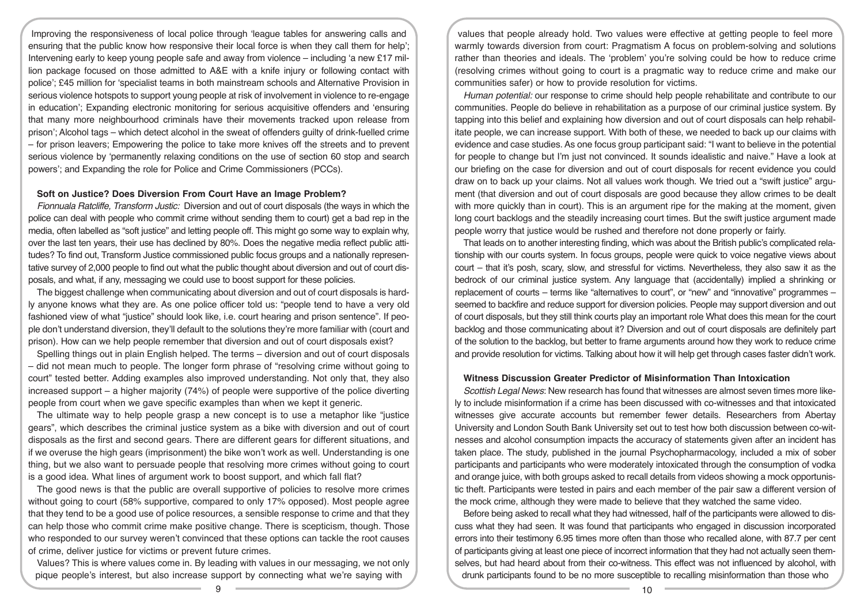Improving the responsiveness of local police through 'league tables for answering calls and ensuring that the public know how responsive their local force is when they call them for help'; Intervening early to keep young people safe and away from violence – including 'a new £17 million package focused on those admitted to A&E with a knife injury or following contact with police'; £45 million for 'specialist teams in both mainstream schools and Alternative Provision in serious violence hotspots to support young people at risk of involvement in violence to re-engage in education'; Expanding electronic monitoring for serious acquisitive offenders and 'ensuring that many more neighbourhood criminals have their movements tracked upon release from prison'; Alcohol tags – which detect alcohol in the sweat of offenders guilty of drink-fuelled crime – for prison leavers; Empowering the police to take more knives off the streets and to prevent serious violence by 'permanently relaxing conditions on the use of section 60 stop and search powers'; and Expanding the role for Police and Crime Commissioners (PCCs).

#### **Soft on Justice? Does Diversion From Court Have an Image Problem?**

*Fionnuala Ratcliffe, Transform Justic:* Diversion and out of court disposals (the ways in which the police can deal with people who commit crime without sending them to court) get a bad rep in the media, often labelled as "soft justice" and letting people off. This might go some way to explain why, over the last ten years, their use has declined by 80%. Does the negative media reflect public attitudes? To find out, Transform Justice commissioned public focus groups and a nationally representative survey of 2,000 people to find out what the public thought about diversion and out of court disposals, and what, if any, messaging we could use to boost support for these policies.

The biggest challenge when communicating about diversion and out of court disposals is hardly anyone knows what they are. As one police officer told us: "people tend to have a very old fashioned view of what "justice" should look like, i.e. court hearing and prison sentence". If people don't understand diversion, they'll default to the solutions they're more familiar with (court and prison). How can we help people remember that diversion and out of court disposals exist?

Spelling things out in plain English helped. The terms – diversion and out of court disposals – did not mean much to people. The longer form phrase of "resolving crime without going to court" tested better. Adding examples also improved understanding. Not only that, they also increased support – a higher majority (74%) of people were supportive of the police diverting people from court when we gave specific examples than when we kept it generic.

The ultimate way to help people grasp a new concept is to use a metaphor like "justice gears", which describes the criminal justice system as a bike with diversion and out of court disposals as the first and second gears. There are different gears for different situations, and if we overuse the high gears (imprisonment) the bike won't work as well. Understanding is one thing, but we also want to persuade people that resolving more crimes without going to court is a good idea. What lines of argument work to boost support, and which fall flat?

The good news is that the public are overall supportive of policies to resolve more crimes without going to court (58% supportive, compared to only 17% opposed). Most people agree that they tend to be a good use of police resources, a sensible response to crime and that they can help those who commit crime make positive change. There is scepticism, though. Those who responded to our survey weren't convinced that these options can tackle the root causes of crime, deliver justice for victims or prevent future crimes.

Values? This is where values come in. By leading with values in our messaging, we not only pique people's interest, but also increase support by connecting what we're saying with

values that people already hold. Two values were effective at getting people to feel more warmly towards diversion from court: Pragmatism A focus on problem-solving and solutions rather than theories and ideals. The 'problem' you're solving could be how to reduce crime (resolving crimes without going to court is a pragmatic way to reduce crime and make our communities safer) or how to provide resolution for victims.

*Human potential:* our response to crime should help people rehabilitate and contribute to our communities. People do believe in rehabilitation as a purpose of our criminal justice system. By tapping into this belief and explaining how diversion and out of court disposals can help rehabilitate people, we can increase support. With both of these, we needed to back up our claims with evidence and case studies. As one focus group participant said: "I want to believe in the potential for people to change but I'm just not convinced. It sounds idealistic and naive." Have a look at our briefing on the case for diversion and out of court disposals for recent evidence you could draw on to back up your claims. Not all values work though. We tried out a "swift justice" argument (that diversion and out of court disposals are good because they allow crimes to be dealt with more quickly than in court). This is an argument ripe for the making at the moment, given long court backlogs and the steadily increasing court times. But the swift justice argument made people worry that justice would be rushed and therefore not done properly or fairly.

That leads on to another interesting finding, which was about the British public's complicated relationship with our courts system. In focus groups, people were quick to voice negative views about court – that it's posh, scary, slow, and stressful for victims. Nevertheless, they also saw it as the bedrock of our criminal justice system. Any language that (accidentally) implied a shrinking or replacement of courts – terms like "alternatives to court", or "new" and "innovative" programmes – seemed to backfire and reduce support for diversion policies. People may support diversion and out of court disposals, but they still think courts play an important role What does this mean for the court backlog and those communicating about it? Diversion and out of court disposals are definitely part of the solution to the backlog, but better to frame arguments around how they work to reduce crime and provide resolution for victims. Talking about how it will help get through cases faster didn't work.

## **Witness Discussion Greater Predictor of Misinformation Than Intoxication**

*Scottish Legal News*: New research has found that witnesses are almost seven times more likely to include misinformation if a crime has been discussed with co-witnesses and that intoxicated witnesses give accurate accounts but remember fewer details. Researchers from Abertay University and London South Bank University set out to test how both discussion between co-witnesses and alcohol consumption impacts the accuracy of statements given after an incident has taken place. The study, published in the journal Psychopharmacology, included a mix of sober participants and participants who were moderately intoxicated through the consumption of vodka and orange juice, with both groups asked to recall details from videos showing a mock opportunistic theft. Participants were tested in pairs and each member of the pair saw a different version of the mock crime, although they were made to believe that they watched the same video.

Before being asked to recall what they had witnessed, half of the participants were allowed to discuss what they had seen. It was found that participants who engaged in discussion incorporated errors into their testimony 6.95 times more often than those who recalled alone, with 87.7 per cent of participants giving at least one piece of incorrect information that they had not actually seen themselves, but had heard about from their co-witness. This effect was not influenced by alcohol, with drunk participants found to be no more susceptible to recalling misinformation than those who